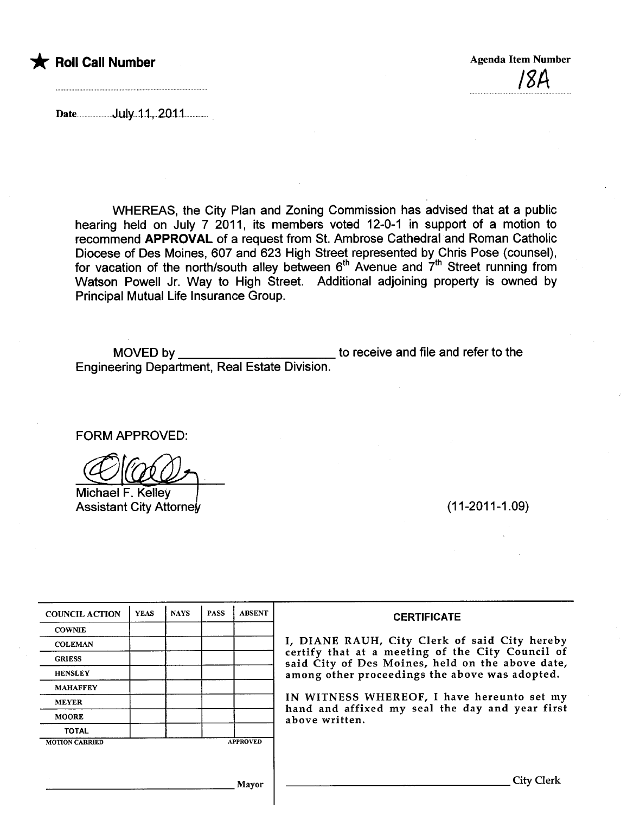

/8A

Date.......................J.uJy...1.1,..2D.t1...............

WHEREAS, the City Plan and Zoning Commission has advised that at a public hearing held on July 7 2011, its members voted 12-0-1 in support of a motion to recommend APPROVAL of a request from St. Ambrose Cathedral and Roman Catholic Diocese of Des Moines, 607 and 623 High Street represented by Chris Pose (counsel), for vacation of the north/south alley between  $6<sup>th</sup>$  Avenue and  $7<sup>th</sup>$  Street running from Watson Powell Jr. Way to High Street. Additional adjoining property is owned by Principal Mutual Life Insurance Group.

MOVED by **the receive and file and refer to the** Engineering Department, Real Estate Division.

FORM APPROVED:

Michael F. Kelley Assistant City Attorney (11-2011-1.09)

| <b>COUNCIL ACTION</b> | <b>YEAS</b> | <b>NAYS</b> | <b>PASS</b> | <b>ABSENT</b>   | <b>CERTIFICATE</b>                                                                                   |  |  |  |  |  |  |
|-----------------------|-------------|-------------|-------------|-----------------|------------------------------------------------------------------------------------------------------|--|--|--|--|--|--|
| <b>COWNIE</b>         |             |             |             |                 |                                                                                                      |  |  |  |  |  |  |
| <b>COLEMAN</b>        |             |             |             |                 | I, DIANE RAUH, City Clerk of said City hereby                                                        |  |  |  |  |  |  |
| <b>GRIESS</b>         |             |             |             |                 | certify that at a meeting of the City Council of<br>said City of Des Moines, held on the above date, |  |  |  |  |  |  |
| <b>HENSLEY</b>        |             |             |             |                 | among other proceedings the above was adopted.                                                       |  |  |  |  |  |  |
| <b>MAHAFFEY</b>       |             |             |             |                 |                                                                                                      |  |  |  |  |  |  |
| <b>MEYER</b>          |             |             |             |                 | IN WITNESS WHEREOF, I have hereunto set my                                                           |  |  |  |  |  |  |
| <b>MOORE</b>          |             |             |             |                 | hand and affixed my seal the day and year first<br>above written.                                    |  |  |  |  |  |  |
| <b>TOTAL</b>          |             |             |             |                 |                                                                                                      |  |  |  |  |  |  |
| <b>MOTION CARRIED</b> |             |             |             | <b>APPROVED</b> |                                                                                                      |  |  |  |  |  |  |
|                       |             |             |             |                 |                                                                                                      |  |  |  |  |  |  |
|                       |             |             |             |                 |                                                                                                      |  |  |  |  |  |  |
| Mayor                 |             |             |             |                 | City Clerk                                                                                           |  |  |  |  |  |  |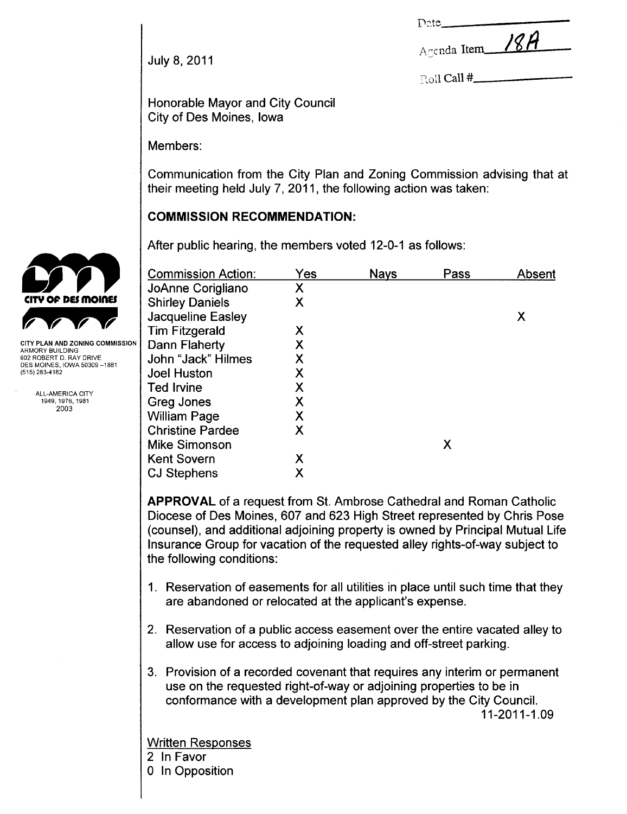| Date, |  |
|-------|--|
|       |  |

Agenda Item 18A

 $_{\rm Eoll}$  Call #

July 8, 2011

Honorable Mayor and City Council City of Des Moines, Iowa

Members:

Communication from the City Plan and Zoning Commission advising that at their meeting held July 7,2011, the following action was taken:

# COMMISSION RECOMMENDATION:

|                                                | After public hearing, the members voted 12-0-1 as follows: |     |             |      |        |  |  |
|------------------------------------------------|------------------------------------------------------------|-----|-------------|------|--------|--|--|
|                                                | <b>Commission Action:</b>                                  | Yes | <b>Nays</b> | Pass | Absent |  |  |
|                                                | JoAnne Corigliano                                          | X   |             |      |        |  |  |
| <b>CITY OF DES MOINES</b>                      | <b>Shirley Daniels</b>                                     | X   |             |      |        |  |  |
|                                                | Jacqueline Easley                                          |     |             |      | Χ      |  |  |
|                                                | <b>Tim Fitzgerald</b>                                      | Χ   |             |      |        |  |  |
| <b>CITY PLAN AND ZONING COMMISSION</b>         | Dann Flaherty                                              | Χ   |             |      |        |  |  |
| ARMORY BUILDING<br>602 ROBERT D. RAY DRIVE     | John "Jack" Hilmes                                         | Χ   |             |      |        |  |  |
| DES MOINES. IOWA 50309 –1881<br>(515) 283-4182 | <b>Joel Huston</b>                                         | Χ   |             |      |        |  |  |
|                                                | Ted Irvine                                                 |     |             |      |        |  |  |
| ALL-AMERICA CITY<br>1949, 1976, 1981           | Greg Jones                                                 | Χ   |             |      |        |  |  |
| 2003                                           | <b>William Page</b>                                        | Χ   |             |      |        |  |  |
|                                                | <b>Christine Pardee</b>                                    | X   |             |      |        |  |  |
|                                                | Mike Simonson                                              |     |             | X    |        |  |  |
|                                                | <b>Kent Sovern</b>                                         | Χ   |             |      |        |  |  |
|                                                | <b>CJ Stephens</b>                                         | Χ   |             |      |        |  |  |

APPROVAL of a request from St. Ambrose Cathedral and Roman Catholic Diocese of Des Moines, 607 and 623 High Street represented by Chris Pose (counsel), and additional adjoining property is owned by Principal Mutual Life Insurance Group for vacation of the requested alley rights-of-way subject to the following conditions:

- 1. Reservation of easements for all utilities in place until such time that they are abandoned or relocated at the applicant's expense.
- 2. Reservation of a public access easement over the entire vacated alley to allow use for access to adjoining loading and off-street parking.
- 3. Provision of a recorded covenant that requires any interim or permanent use on the requested right-of-way or adjoining properties to be in conformance with a development plan approved by the City CounciL. 11-2011-1.09

Written Responses

- 2 In Favor
- 0 In Opposition

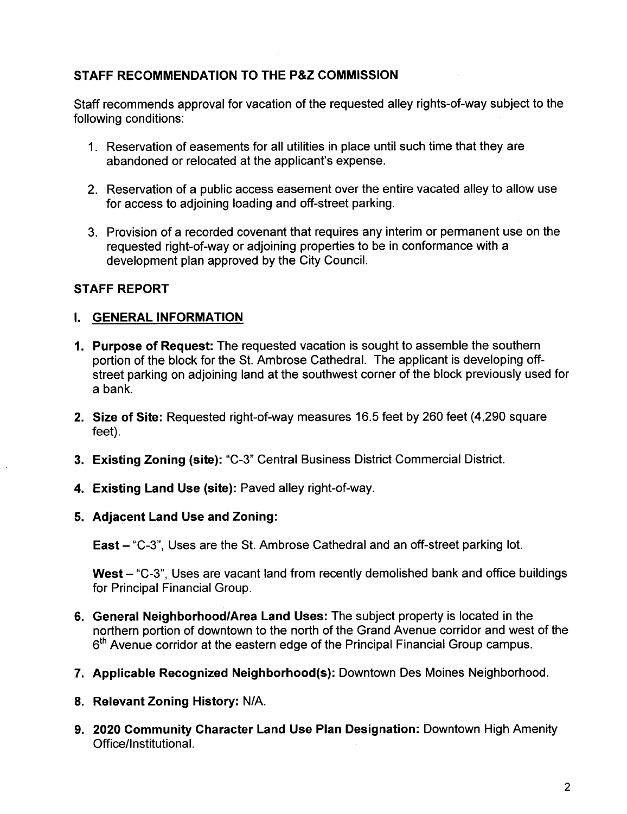## STAFF RECOMMENDATION TO THE P&Z COMMISSION

Staff recommends approval for vacation of the requested alley rights-of-way subject to the following conditions:

- 1. Reservation of easements for all utilities in place until such time that they are abandoned or relocated at the applicant's expense.
- 2. Reservation of a public access easement over the entire vacated alley to allow use for access to adjoining loading and off-street parking.
- 3. Provision of a recorded covenant that requires any interim or permanent use on the requested right-of-way or adjoining properties to be in conformance with a development plan approved by the City CounciL.

## STAFF REPORT

### I. GENERAL INFORMATION

- 1. Purpose of Request: The requested vacation is sought to assemble the southern portion of the block for the St. Ambrose Cathedral. The applicant is developing offstreet parking on adjoining land at the southwest corner of the block previously used for a bank.
- 2. Size of Site: Requested right-of-way measures 16.5 feet by 260 feet (4,290 square feet).
- 3. Existing Zoning (site): "C-3" Central Business District Commercial District.
- 4. Existing Land Use (site): Paved alley right-of-way.
- 5. Adjacent Land Use and Zoning:

East - "C-3", Uses are the St. Ambrose Cathedral and an off-street parking lot.

West - "C-3", Uses are vacant land from recently demolished bank and office buildings for Principal Financial Group,

- 6. General Neighborhood/Area Land Uses: The subject property is located in the northern portion of downtown to the north of the Grand Avenue corridor and west of the 6<sup>th</sup> Avenue corridor at the eastern edge of the Principal Financial Group campus.
- 7. Applicable Recognized Neighborhood(s): Downtown Des Moines Neighborhood.
- 8. Relevant Zoning History: N/A.
- 9. 2020 Community Character Land Use Plan Designation: Downtown High Amenity Office/Institutional.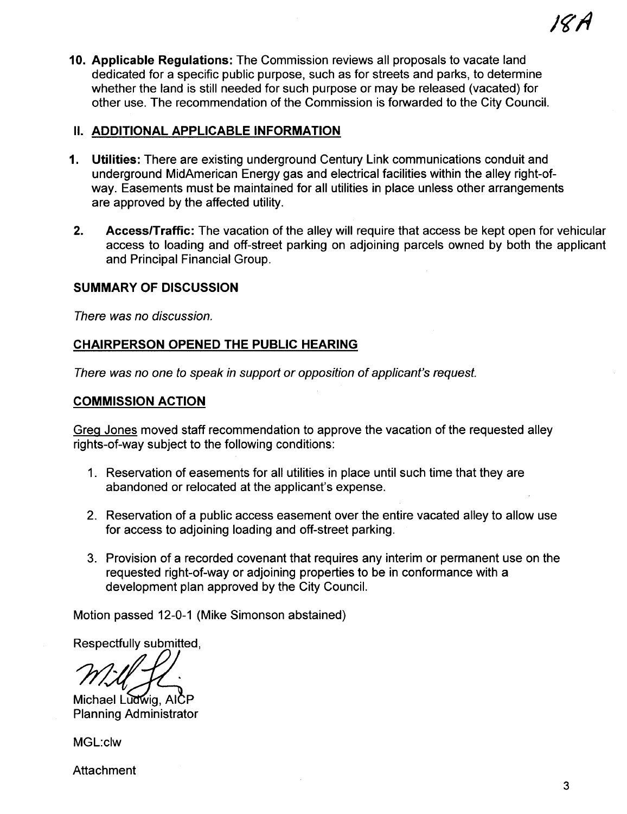10. Applicable Regulations: The Commission reviews all proposals to vacate land dedicated for a specific public purpose, such as for streets and parks, to determine whether the land is still needed for such purpose or may be released (vacated) for other use. The recommendation of the Commission is forwarded to the City CounciL.

### **II. ADDITIONAL APPLICABLE INFORMATION**

- 1. Utilities: There are existing underground Century Link communications conduit and underground MidAmerican Energy gas and electrical facilities within the alley right-ofway. Easements must be maintained for all utilities in place unless other arrangements are approved by the affected utility.
- 2. Access/Traffic: The vacation of the alley will require that access be kept open for vehicular access to loading and off-street parking on adjoining parcels owned by both the applicant and Principal Financial Group.

## SUMMARY OF DISCUSSION

There was no discussion.

## CHAIRPERSON OPENED THE PUBLIC HEARING

There was no one to speak in support or opposition of applicant's request.

#### COMMISSION ACTION

Greq Jones moved staff recommendation to approve the vacation of the requested alley rights-of-way subject to the following conditions:

- 1. Reservation of easements for all utilities in place until such time that they are abandoned or relocated at the applicant's expense.
- 2. Reservation of a public access easement over the entire vacated alley to allow use for access to adjoining loading and off-street parking.
- 3. Provision of a recorded covenant that requires any interim or permanent use on the requested right-of-way or adjoining properties to be in conformance with a development plan approved by the City Council.

Motion passed 12-0-1 (Mike Simonson abstained)

Respectfully submitted,

Michael Ludwig, AICP<br>Planning Administrator

MGL:c1w

**Attachment** 

/tlA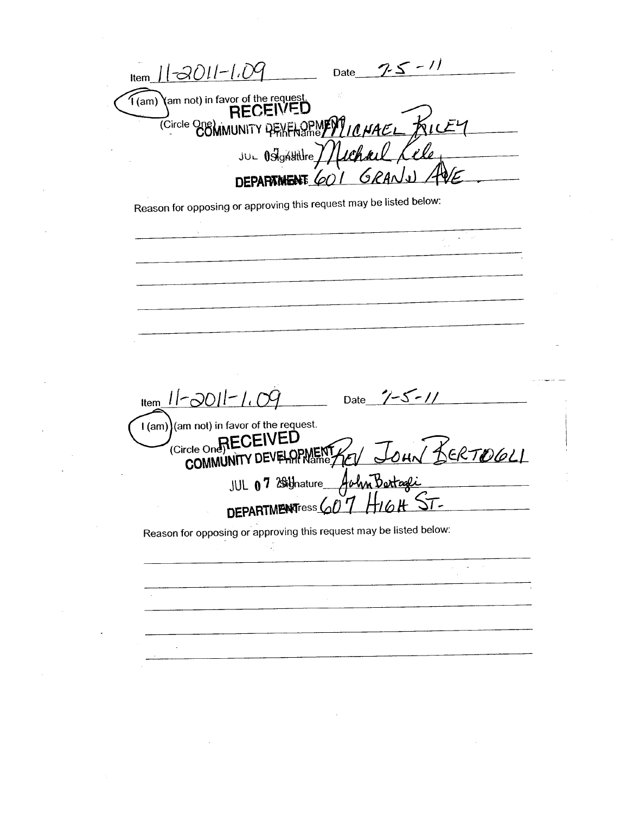$75 - 11$  $I$ ltem  $11-2011-1.09$ Date T(am) \am not) in favor of the request. (Circle One) MUNITY PENENSMENT ICHAEL KIC Kile JUL OSIGASHUre //Lechael DEPARTMENT 601 6 Reason for opposing or approving this request may be listed below: 2 Pos Item  $11 - 2011 - 1.09$  Date  $7 - 5 - 11$ I (am) (am not) in favor of the request. (Circle One<sub>p</sub>RECEIVED JOHN BERTOGLI COMMUNITY DEVELOPMENT JUL 07 29 Unature John Bartage DEPARTMENTress 607 Reason for opposing or approving this request may be listed below: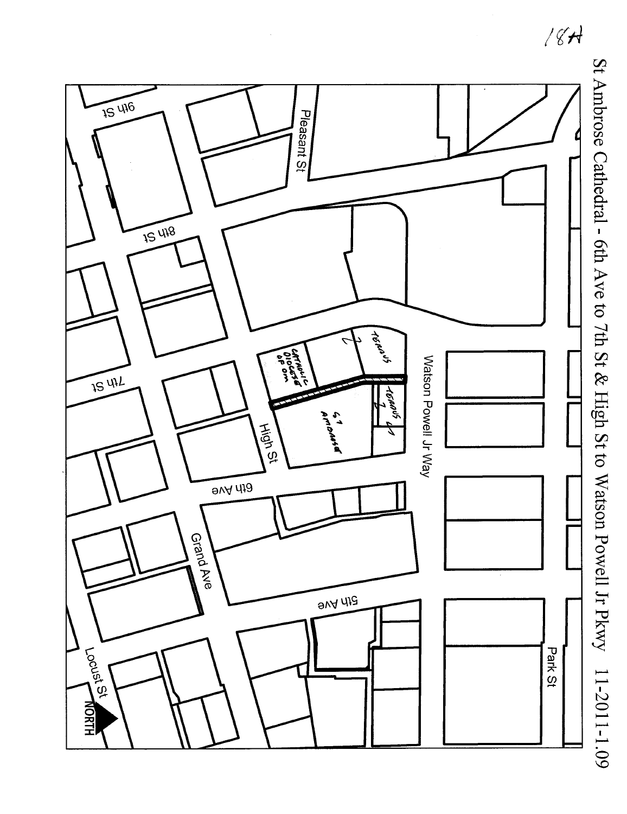